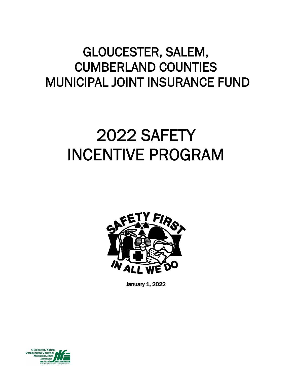# GLOUCESTER, SALEM, CUMBERLAND COUNTIES MUNICIPAL JOINT INSURANCE FUND

# 2022 SAFETY INCENTIVE PROGRAM



January 1, 2022

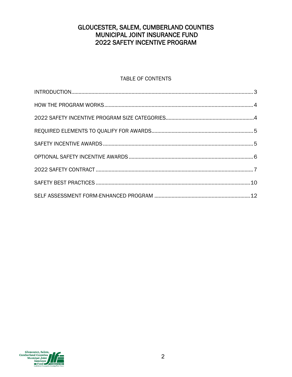# GLOUCESTER, SALEM, CUMBERLAND COUNTIES MUNICIPAL JOINT INSURANCE FUND **2022 SAFETY INCENTIVE PROGRAM**

# **TABLE OF CONTENTS**

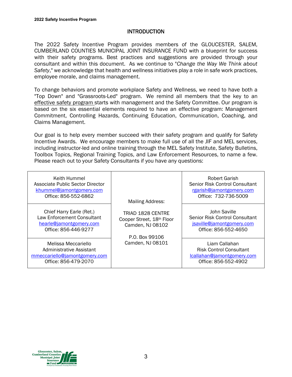# **INTRODUCTION**

The 2022 Safety Incentive Program provides members of the GLOUCESTER, SALEM, CUMBERLAND COUNTIES MUNICIPAL JOINT INSURANCE FUND with a blueprint for success with their safety programs. Best practices and suggestions are provided through your consultant and within this document. As we continue to "*Change the Way We Think about Safety*," we acknowledge that health and wellness initiatives play a role in safe work practices, employee morale, and claims management.

To change behaviors and promote workplace Safety and Wellness, we need to have both a "Top Down" and "Grassroots-Led" program. We remind all members that the key to an effective safety program starts with management and the Safety Committee. Our program is based on the six essential elements required to have an effective program: Management Commitment, Controlling Hazards, Continuing Education, Communication, Coaching, and Claims Management.

Our goal is to help every member succeed with their safety program and qualify for Safety Incentive Awards. We encourage members to make full use of all the JIF and MEL services, including instructor-led and online training through the MEL Safety Institute, Safety Bulletins, Toolbox Topics, Regional Training Topics, and Law Enforcement Resources, to name a few. Please reach out to your Safety Consultants if you have any questions:

| Keith Hummel<br>Associate Public Sector Director<br>khummel@jamontgomery.com<br>Office: 856-552-6862      | <b>Mailing Address:</b>                                                                     | Robert Garish<br>Senior Risk Control Consultant<br>rgarish@jamontgomery.com<br>Office: 732-736-5009   |
|-----------------------------------------------------------------------------------------------------------|---------------------------------------------------------------------------------------------|-------------------------------------------------------------------------------------------------------|
| Chief Harry Earle (Ret.)<br>Law Enforcement Consultant<br>hearle@jamontgomery.com<br>Office: 856-446-9277 | <b>TRIAD 1828 CENTRE</b><br>Cooper Street, 18th Floor<br>Camden, NJ 08102<br>P.O. Box 99106 | John Saville<br>Senior Risk Control Consultant<br>jsaville@jamontgomery.com<br>Office: 856-552-4650   |
| Melissa Meccariello<br>Administrative Assistant<br>mmeccariello@jamontgomery.com<br>Office: 856-479-2070  | Camden, NJ 08101                                                                            | Liam Callahan<br><b>Risk Control Consultant</b><br>lcallahan@jamontgomery.com<br>Office: 856-552-4902 |

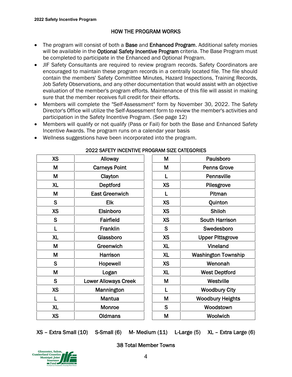# HOW THE PROGRAM WORKS

- The program will consist of both a Base and Enhanced Program. Additional safety monies will be available in the Optional Safety Incentive Program criteria. The Base Program must be completed to participate in the Enhanced and Optional Program.
- JIF Safety Consultants are required to review program records. Safety Coordinators are encouraged to maintain these program records in a centrally located file. The file should contain the members' Safety Committee Minutes, Hazard Inspections, Training Records, Job Safety Observations, and any other documentation that would assist with an objective evaluation of the member's program efforts. Maintenance of this file will assist in making sure that the member receives full credit for their efforts.
- Members will complete the "Self-Assessment" form by November 30, 2022. The Safety Director's Office will utilize the Self-Assessment form to review the member's activities and participation in the Safety Incentive Program. (See page 12)
- Members will qualify or not qualify (Pass or Fail) for both the Base and Enhanced Safety Incentive Awards. The program runs on a calendar year basis

| <b>XS</b> | Alloway                     | M            | Paulsboro                  |
|-----------|-----------------------------|--------------|----------------------------|
| M         | <b>Carneys Point</b>        | M            | <b>Penns Grove</b>         |
| M         | Clayton                     | $\mathbf{I}$ | Pennsville                 |
| <b>XL</b> | Deptford                    | <b>XS</b>    | Pilesgrove                 |
| M         | <b>East Greenwich</b>       |              | Pitman                     |
| S         | <b>Elk</b>                  | <b>XS</b>    | Quinton                    |
| <b>XS</b> | Elsinboro                   | <b>XS</b>    | Shiloh                     |
| S         | Fairfield                   | <b>XS</b>    | <b>South Harrison</b>      |
|           | Franklin                    | S            | Swedesboro                 |
| <b>XL</b> | Glassboro                   | <b>XS</b>    | <b>Upper Pittsgrove</b>    |
| M         | Greenwich                   | <b>XL</b>    | Vineland                   |
| M         | Harrison                    | <b>XL</b>    | <b>Washington Township</b> |
| S         | Hopewell                    | <b>XS</b>    | Wenonah                    |
| M         | Logan                       | <b>XL</b>    | <b>West Deptford</b>       |
| S         | <b>Lower Alloways Creek</b> | M            | Westville                  |
| <b>XS</b> | Mannington                  |              | <b>Woodbury City</b>       |
|           | <b>Mantua</b>               | M            | <b>Woodbury Heights</b>    |
| <b>XL</b> | Monroe                      | S            | Woodstown                  |
| <b>XS</b> | <b>Oldmans</b>              | M            | Woolwich                   |
|           |                             |              |                            |

Wellness suggestions have been incorporated into the program.

# 2022 SAFETY INCENTIVE PROGRAM SIZE CATEGORIES

| М         | Paulsboro                  |
|-----------|----------------------------|
| М         | <b>Penns Grove</b>         |
| L         | Pennsville                 |
| <b>XS</b> | Pilesgrove                 |
| L         | Pitman                     |
| <b>XS</b> | Quinton                    |
| <b>XS</b> | Shiloh                     |
| <b>XS</b> | <b>South Harrison</b>      |
| S         | Swedesboro                 |
| <b>XS</b> | <b>Upper Pittsgrove</b>    |
| <b>XL</b> | Vineland                   |
| <b>XL</b> | <b>Washington Township</b> |
| <b>XS</b> | Wenonah                    |
| <b>XL</b> | <b>West Deptford</b>       |
| М         | Westville                  |
| L         | <b>Woodbury City</b>       |
| М         | <b>Woodbury Heights</b>    |
| S         | Woodstown                  |
| M         | Woolwich                   |

XS – Extra Small (10) S-Small (6) M- Medium (11) L-Large (5) XL – Extra Large (6)



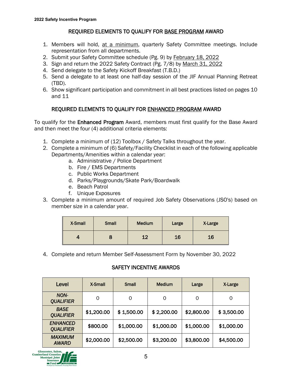# REQUIRED ELEMENTS TO QUALIFY FOR BASE PROGRAM AWARD

- 1. Members will hold, at a minimum, quarterly Safety Committee meetings. Include representation from all departments.
- 2. Submit your Safety Committee schedule (Pg. 9) by February 18, 2022
- 3. Sign and return the 2022 Safety Contract (Pg. 7/8) by March 31, 2022
- 4. Send delegate to the Safety Kickoff Breakfast (T.B.D.)
- 5. Send a delegate to at least one half-day session of the JIF Annual Planning Retreat (TBD).
- 6. Show significant participation and commitment in all best practices listed on pages 10 and 11

# REQUIRED ELEMENTS TO QUALIFY FOR ENHANCED PROGRAM AWARD

To qualify for the **Enhanced Program** Award, members must first qualify for the Base Award and then meet the four (4) additional criteria elements:

- 1. Complete a minimum of (12) Toolbox / Safety Talks throughout the year.
- 2. Complete a minimum of (6) Safety/Facility Checklist in each of the following applicable Departments/Amenities within a calendar year:
	- a. Administrative / Police Department
	- b. Fire / EMS Departments
	- c. Public Works Department
	- d. Parks/Playgrounds/Skate Park/Boardwalk
	- e. Beach Patrol
	- f. Unique Exposures
- 3. Complete a minimum amount of required Job Safety Observations (JSO's) based on member size in a calendar year.

| <b>X-Small</b> | <b>Small</b> | <b>Medium</b> | Large | X-Large |
|----------------|--------------|---------------|-------|---------|
|                |              | 12            | 16    | 16      |

4. Complete and return Member Self-Assessment Form by November 30, 2022

# SAFETY INCENTIVE AWARDS

| Level                               | X-Small    | <b>Small</b> | <b>Medium</b> | Large      | X-Large    |
|-------------------------------------|------------|--------------|---------------|------------|------------|
| NON-<br><b>QUALIFIER</b>            | 0          | 0            | 0             | 0          | 0          |
| <b>BASE</b><br><b>QUALIFIER</b>     | \$1,200.00 | \$1,500.00   | \$2,200.00    | \$2,800.00 | \$3,500.00 |
| <b>ENHANCED</b><br><b>QUALIFIER</b> | \$800.00   | \$1,000.00   | \$1,000.00    | \$1,000.00 | \$1,000.00 |
| <b>MAXIMUM</b><br><b>AWARD</b>      | \$2,000.00 | \$2,500.00   | \$3,200.00    | \$3,800.00 | \$4,500.00 |

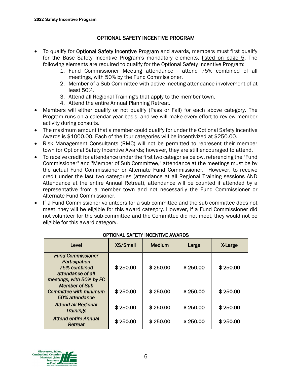# OPTIONAL SAFETY INCENTIVE PROGRAM

- To qualify for Optional Safety Incentive Program and awards, members must first qualify for the Base Safety Incentive Program's mandatory elements, listed on page 5. The following elements are required to qualify for the Optional Safety Incentive Program:
	- 1. Fund Commissioner Meeting attendance attend 75% combined of all meetings, with 50% by the Fund Commissioner.
	- 2. Member of a Sub-Committee with active meeting attendance involvement of at least 50%.
	- 3. Attend all Regional Training's that apply to the member town.
	- 4. Attend the entire Annual Planning Retreat.
- Members will either qualify or not qualify (Pass or Fail) for each above category. The Program runs on a calendar year basis, and we will make every effort to review member activity during consults.
- The maximum amount that a member could qualify for under the Optional Safety Incentive Awards is \$1000.00. Each of the four categories will be incentivized at \$250.00.
- Risk Management Consultants (RMC) will not be permitted to represent their member town for Optional Safety Incentive Awards; however, they are still encouraged to attend.
- To receive credit for attendance under the first two categories below, referencing the "Fund Commissioner" and "Member of Sub Committee," attendance at the meetings must be by the actual Fund Commissioner or Alternate Fund Commissioner. However, to receive credit under the last two categories (attendance at all Regional Training sessions AND Attendance at the entire Annual Retreat), attendance will be counted if attended by a representative from a member town and not necessarily the Fund Commissioner or Alternate Fund Commissioner.
- If a Fund Commissioner volunteers for a sub-committee and the sub-committee does not meet, they will be eligible for this award category. However, if a Fund Commissioner did not volunteer for the sub-committee and the Committee did not meet, they would not be eligible for this award category.

| Level                                                                                                      | XS/Small | <b>Medium</b> | Large    | X-Large  |
|------------------------------------------------------------------------------------------------------------|----------|---------------|----------|----------|
| <b>Fund Commissioner</b><br>Participation<br>75% combined<br>attendance of all<br>meetings, with 50% by FC | \$250.00 | \$250.00      | \$250.00 | \$250.00 |
| <b>Member of Sub</b><br><b>Committee with minimum</b><br>50% attendance                                    | \$250.00 | \$250.00      | \$250.00 | \$250.00 |
| <b>Attend all Regional</b><br><b>Trainings</b>                                                             | \$250.00 | \$250.00      | \$250.00 | \$250.00 |
| <b>Attend entire Annual</b><br>Retreat                                                                     | \$250.00 | \$250.00      | \$250.00 | \$250.00 |

#### OPTIONAL SAFETY INCENTIVE AWARDS

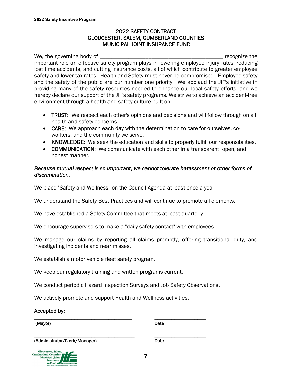#### 2022 SAFETY CONTRACT GLOUCESTER, SALEM, CUMBERLAND COUNTIES MUNICIPAL JOINT INSURANCE FUND

We, the governing body of the same state of the state of the state of the state of the state of the state of the state of the state of the state of the state of the state of the state of the state of the state of the state important role an effective safety program plays in lowering employee injury rates, reducing lost time accidents, and cutting insurance costs, all of which contribute to greater employee safety and lower tax rates. Health and Safety must never be compromised. Employee safety and the safety of the public are our number one priority. We applaud the JIF's initiative in providing many of the safety resources needed to enhance our local safety efforts, and we hereby declare our support of the JIF's safety programs. We strive to achieve an accident-free environment through a health and safety culture built on:

- TRUST: We respect each other's opinions and decisions and will follow through on all health and safety concerns
- CARE: We approach each day with the determination to care for ourselves, coworkers, and the community we serve.
- KNOWLEDGE: We seek the education and skills to properly fulfill our responsibilities.
- COMMUNICATION: We communicate with each other in a transparent, open, and honest manner.

# *Because mutual respect is so important, we cannot tolerate harassment or other forms of discrimination.*

We place "Safety and Wellness" on the Council Agenda at least once a year.

We understand the Safety Best Practices and will continue to promote all elements.

We have established a Safety Committee that meets at least quarterly.

We encourage supervisors to make a "daily safety contact" with employees.

We manage our claims by reporting all claims promptly, offering transitional duty, and investigating incidents and near misses.

We establish a motor vehicle fleet safety program.

We keep our regulatory training and written programs current.

We conduct periodic Hazard Inspection Surveys and Job Safety Observations.

We actively promote and support Health and Wellness activities.

\_\_\_\_\_\_\_\_\_\_\_\_\_\_\_\_\_\_\_\_\_\_\_\_\_\_\_\_\_\_\_\_\_\_\_ \_\_\_\_\_\_\_\_\_\_\_\_\_\_\_\_\_\_

Accepted by:

\_\_\_\_\_\_\_\_\_\_\_\_\_\_\_\_\_\_\_\_\_\_\_\_\_\_\_\_\_\_\_\_\_\_ \_\_\_\_\_\_\_\_\_\_\_\_\_\_\_\_\_\_ (Mayor) Date

(Administrator/Clerk/Manager) Date

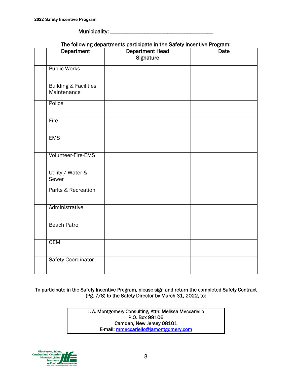Municipality: \_\_\_\_\_\_\_\_\_\_\_\_\_\_\_\_\_\_\_\_\_\_\_\_\_\_\_\_\_\_\_\_\_\_\_\_

| The following departments participate in the Safety Incentive Program: |  |  |
|------------------------------------------------------------------------|--|--|
|                                                                        |  |  |

| Department                                      | a magnasa at ma<br><b>Department Head</b> | <b>Date</b> |
|-------------------------------------------------|-------------------------------------------|-------------|
|                                                 | Signature                                 |             |
| <b>Public Works</b>                             |                                           |             |
| <b>Building &amp; Facilities</b><br>Maintenance |                                           |             |
| Police                                          |                                           |             |
| Fire                                            |                                           |             |
| <b>EMS</b>                                      |                                           |             |
| Volunteer-Fire-EMS                              |                                           |             |
| Utility / Water &<br>Sewer                      |                                           |             |
| Parks & Recreation                              |                                           |             |
| Administrative                                  |                                           |             |
| <b>Beach Patrol</b>                             |                                           |             |
| <b>OEM</b>                                      |                                           |             |
| <b>Safety Coordinator</b>                       |                                           |             |

To participate in the Safety Incentive Program, please sign and return the completed Safety Contract (Pg. 7/8) to the Safety Director by March 31, 2022, to:

> J. A. Montgomery Consulting, Attn: Melissa Meccariello P.O. Box 99106 Camden, New Jersey 08101 E-mail: mmeccariello@jamontgomery.com

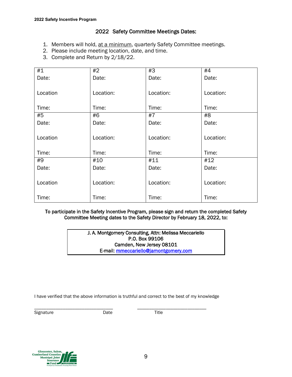# 2022 Safety Committee Meetings Dates:

- 1. Members will hold, at a minimum, quarterly Safety Committee meetings.
- 2. Please include meeting location, date, and time.
- 3. Complete and Return by 2/18/22.

| #1       | #2        | #3        | #4        |
|----------|-----------|-----------|-----------|
| Date:    | Date:     | Date:     | Date:     |
|          |           |           |           |
| Location | Location: | Location: | Location: |
|          |           |           |           |
| Time:    | Time:     | Time:     | Time:     |
| #5       | #6        | #7        | #8        |
| Date:    | Date:     | Date:     | Date:     |
|          |           |           |           |
| Location | Location: | Location: | Location: |
|          |           |           |           |
| Time:    | Time:     | Time:     | Time:     |
| #9       | #10       | #11       | #12       |
| Date:    | Date:     | Date:     | Date:     |
|          |           |           |           |
| Location | Location: | Location: | Location: |
|          |           |           |           |
| Time:    | Time:     | Time:     | Time:     |

#### To participate in the Safety Incentive Program, please sign and return the completed Safety Committee Meeting dates to the Safety Director by February 18, 2022, to:

J. A. Montgomery Consulting, Attn: Melissa Meccariello P.O. Box 99106 Camden, New Jersey 08101 E-mail: mmeccariello@jamontgomery.com

I have verified that the above information is truthful and correct to the best of my knowledge

\_\_\_\_\_\_\_\_\_\_\_\_\_\_\_\_\_\_\_\_\_\_\_\_\_\_\_\_\_\_\_\_\_ \_\_\_\_\_\_\_\_\_\_\_\_\_\_\_\_\_\_\_\_\_\_\_\_\_\_\_\_\_

Signature Date Date Title

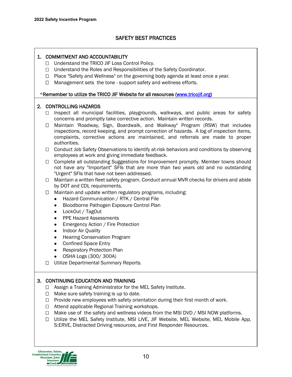# SAFETY BEST PRACTICES

### 1. COMMITMENT AND ACCOUNTABILITY

- □ Understand the TRICO JIF Loss Control Policy.
- □ Understand the Roles and Responsibilities of the Safety Coordinator.
- $\Box$  Place "Safety and Wellness" on the governing body agenda at least once a year.
- $\Box$  Management sets the tone support safety and wellness efforts.

#### \*Remember to utilize the TRICO JIF Website for all resources (www.tricojif.org)

#### 2. CONTROLLING HAZARDS

- $\Box$  Inspect all municipal facilities, playgrounds, walkways, and public areas for safety concerns and promptly take corrective action. Maintain written records.
- Maintain 'Roadway, Sign, Boardwalk, and Walkway" Program (RSW) that includes inspections, record keeping, and prompt correction of hazards. A log of inspection items, complaints, corrective actions are maintained, and referrals are made to proper authorities.
- $\Box$  Conduct Job Safety Observations to identify at-risk behaviors and conditions by observing employees at work and giving immediate feedback.
- $\Box$  Complete all outstanding Suggestions for Improvement promptly. Member towns should not have any "Important" SFIs that are more than two years old and no outstanding "Urgent" SFIs that have not been addressed.
- $\Box$  Maintain a written fleet safety program. Conduct annual MVR checks for drivers and abide by DOT and CDL requirements.
- $\Box$  Maintain and update written regulatory programs, including:
	- Hazard Communication / RTK / Central File
	- Bloodborne Pathogen Exposure Control Plan
	- LockOut / TagOut
	- PPE Hazard Assessments
	- Emergency Action / Fire Protection
	- Indoor Air Quality
	- Hearing Conservation Program
	- Confined Space Entry
	- Respiratory Protection Plan
	- OSHA Logs (300/ 300A)
- □ Utilize Departmental Summary Reports.

# 3. CONTINUING EDUCATION AND TRAINING

- $\Box$  Assign a Training Administrator for the MEL Safety Institute.
- $\Box$  Make sure safety training is up to date.
- $\Box$  Provide new employees with safety orientation during their first month of work.
- $\Box$  Attend applicable Regional Training workshops.
- $\Box$  Make use of the safety and wellness videos from the MSI DVD / MSI NOW platforms.
- Utilize the MEL Safety Institute, MSI LIVE, JIF Website, MEL Website, MEL Mobile App, S:ERVE, Distracted Driving resources, and First Responder Resources.

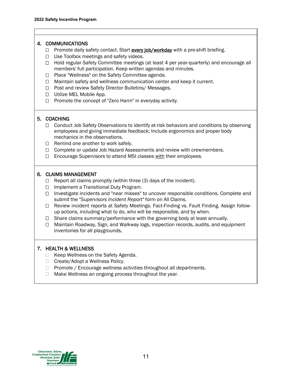#### 4. COMMUNICATIONS

- $\Box$  Promote daily safety contact. Start every job/workday with a pre-shift briefing.
- $\Box$  Use Toolbox meetings and safety videos.
- $\Box$  Hold regular Safety Committee meetings (at least 4 per year-quarterly) and encourage all members' full participation. Keep written agendas and minutes.
- □ Place "Wellness" on the Safety Committee agenda.
- $\Box$  Maintain safety and wellness communication center and keep it current.
- □ Post and review Safety Director Bulletins/ Messages.
- □ Utilize MEL Mobile App.
- $\Box$  Promote the concept of "Zero Harm" in everyday activity.

#### 5. COACHING

- $\Box$  Conduct Job Safety Observations to identify at-risk behaviors and conditions by observing employees and giving immediate feedback; Include ergonomics and proper body mechanics in the observations.
- $\Box$  Remind one another to work safely.
- $\Box$  Complete or update Job Hazard Assessments and review with crewmembers.
- $\Box$  Encourage Supervisors to attend MSI classes with their employees.

#### 6. CLAIMS MANAGEMENT

- $\Box$  Report all claims promptly (within three (3) days of the incident).
- □ Implement a Transitional Duty Program.
- $\Box$  Investigate incidents and "near misses" to uncover responsible conditions. Complete and submit the "*Supervisors Incident Report"* form on All Claims.
- Review incident reports at Safety Meetings. Fact-Finding vs. Fault Finding. Assign followup actions, including what to do, who will be responsible, and by when.
- $\Box$  Share claims summary/performance with the governing body at least annually.
- Maintain Roadway, Sign, and Walkway logs, inspection records, audits, and equipment inventories for all playgrounds.

#### 7. HEALTH & WELLNESS

- $\Box$  Keep Wellness on the Safety Agenda.
- □ Create/Adopt a Wellness Policy.
- $\Box$  Promote / Encourage wellness activities throughout all departments.
- $\Box$  Make Wellness an ongoing process throughout the year.